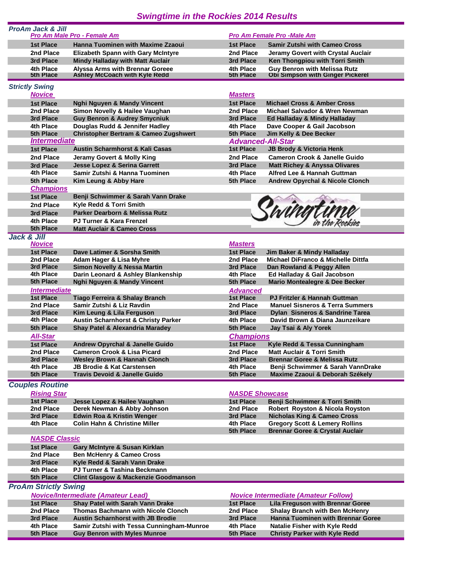## *Swingtime in the Rockies 2014 Results*

| <b>ProAm Jack &amp; Jill</b>     | <b>Pro Am Male Pro - Female Am</b>                                          |                                       | <b>Pro Am Female Pro -Male Am</b>                                             |
|----------------------------------|-----------------------------------------------------------------------------|---------------------------------------|-------------------------------------------------------------------------------|
| 1st Place                        | <b>Hanna Tuominen with Maxime Zzaoui</b>                                    | 1st Place                             | <b>Samir Zutshi with Cameo Cross</b>                                          |
| 2nd Place                        | <b>Elizabeth Spann with Gary McIntyre</b>                                   | 2nd Place                             | Jeramy Govert with Crystal Auclair                                            |
| 3rd Place                        | <b>Mindy Halladay with Matt Auclair</b>                                     | 3rd Place                             | Ken Thongpiou with Torri Smith                                                |
| 4th Place                        | <b>Alvssa Arms with Brennar Goreee</b>                                      | 4th Place                             | <b>Guy Benron with Melissa Rutz</b>                                           |
| 5th Place                        | Ashley McCoach with Kyle Redd                                               | 5th Place                             | <b>Obi Simpson with Ginger Pickerel</b>                                       |
| <b>Strictly Swing</b>            |                                                                             |                                       |                                                                               |
| <b>Novice</b>                    |                                                                             | <b>Masters</b>                        |                                                                               |
| <b>1st Place</b>                 | <b>Nghi Nguyen &amp; Mandy Vincent</b>                                      | <b>1st Place</b>                      | <b>Michael Cross &amp; Amber Cross</b>                                        |
| 2nd Place                        | Simon Novelly & Hailee Vaughan                                              | 2nd Place                             | Michael Salvador & Wren Newman                                                |
| 3rd Place                        | <b>Guy Benron &amp; Audrey Smycniuk</b>                                     | 3rd Place                             | Ed Halladay & Mindy Halladay                                                  |
| 4th Place                        | Douglas Rudd & Jennifer Hadley                                              | 4th Place                             | Dave Cooper & Gail Jacobson                                                   |
| 5th Place<br><b>Intermediate</b> | <b>Christopher Bertram &amp; Cameo Zugshwert</b>                            | 5th Place                             | Jim Kelly & Dee Becker                                                        |
| <b>1st Place</b>                 | <b>Austin Scharmhorst &amp; Kali Casas</b>                                  | <b>Advanced-All-Star</b><br>1st Place | <b>JB Brody &amp; Victoria Henk</b>                                           |
| 2nd Place                        | Jeramy Govert & Molly King                                                  | 2nd Place                             | <b>Cameron Crook &amp; Janelle Guido</b>                                      |
| 3rd Place                        | <b>Jesse Lopez &amp; Serina Garrett</b>                                     | 3rd Place                             | <b>Matt Richey &amp; Anyssa Olivares</b>                                      |
| 4th Place                        | Samir Zutshi & Hanna Tuominen                                               | 4th Place                             | Alfred Lee & Hannah Guttman                                                   |
| 5th Place                        | Kim Leung & Abby Hare                                                       | 5th Place                             | <b>Andrew Opyrchal &amp; Nicole Clonch</b>                                    |
| <b>Champions</b>                 |                                                                             |                                       |                                                                               |
| <b>1st Place</b>                 | Benji Schwimmer & Sarah Vann Drake                                          |                                       |                                                                               |
| 2nd Place                        | Kyle Redd & Torri Smith                                                     |                                       |                                                                               |
| 3rd Place                        | Parker Dearborn & Melissa Rutz                                              |                                       |                                                                               |
| 4th Place                        | <b>PJ Turner &amp; Kara Frenzel</b>                                         |                                       |                                                                               |
| 5th Place                        | <b>Matt Auclair &amp; Cameo Cross</b>                                       |                                       |                                                                               |
| Jack & Jill                      |                                                                             |                                       |                                                                               |
| <b>Novice</b>                    |                                                                             | <b>Masters</b>                        |                                                                               |
| <b>1st Place</b>                 | Dave Latimer & Sorsha Smith                                                 | <b>1st Place</b>                      | Jim Baker & Mindy Halladay                                                    |
| 2nd Place                        | Adam Hager & Lisa Myhre                                                     | 2nd Place                             | Michael DiFranco & Michelle Dittfa                                            |
| 3rd Place                        | Simon Novelly & Nessa Martin                                                | 3rd Place                             | Dan Rowland & Peggy Allen                                                     |
| 4th Place                        | Darin Leonard & Ashley Blankenship                                          | 4th Place                             | Ed Halladay & Gail Jacobson                                                   |
| 5th Place                        | <b>Nghi Nguyen &amp; Mandy Vincent</b>                                      | 5th Place                             | <b>Mario Montealegre &amp; Dee Becker</b>                                     |
| <b>Intermediate</b>              |                                                                             | <b>Advanced</b>                       |                                                                               |
| <b>1st Place</b>                 | Tiago Ferreira & Shalay Branch                                              | 1st Place                             | <b>PJ Fritzler &amp; Hannah Guttman</b>                                       |
| 2nd Place                        | Samir Zutshi & Liz Ravdin                                                   | 2nd Place                             | <b>Manuel Sisneros &amp; Terra Summers</b>                                    |
| 3rd Place<br>4th Place           | Kim Leung & Lila Ferguson<br><b>Austin Scharnhorst &amp; Christy Parker</b> | 3rd Place<br>4th Place                | <b>Dylan Sisneros &amp; Sandrine Tarea</b><br>David Brown & Diana Jaunzeikare |
| 5th Place                        | <b>Shay Patel &amp; Alexandria Maradey</b>                                  | 5th Place                             | Jay Tsai & Aly Yorek                                                          |
|                                  |                                                                             |                                       |                                                                               |
| <b>All-Star</b>                  |                                                                             | <b>Champions</b><br>1st Place         |                                                                               |
| <b>1st Place</b><br>2nd Place    | Andrew Opyrchal & Janelle Guido<br><b>Cameron Crook &amp; Lisa Picard</b>   | 2nd Place                             | Kyle Redd & Tessa Cunningham<br><b>Matt Auclair &amp; Torri Smith</b>         |
| 3rd Place                        | <b>Wesley Brown &amp; Hannah Clonch</b>                                     | 3rd Place                             | <b>Brennar Goree &amp; Melissa Rutz</b>                                       |
| 4th Place                        | <b>JB Brodie &amp; Kat Carstensen</b>                                       | 4th Place                             | Benji Schwimmer & Sarah VannDrake                                             |
| 5th Place                        | <b>Travis Devoid &amp; Janelle Guido</b>                                    | 5th Place                             | Maxime Zzaoui & Deborah Székely                                               |
| <b>Couples Routine</b>           |                                                                             |                                       |                                                                               |
| <b>Rising Star</b>               |                                                                             | <b>NASDE Showcase</b>                 |                                                                               |
| <b>1st Place</b>                 | Jesse Lopez & Hailee Vaughan                                                | 1st Place                             | Benji Schwimmer & Torri Smith                                                 |
| 2nd Place                        | Derek Newman & Abby Johnson                                                 | 2nd Place                             | Robert Royston & Nicola Royston                                               |
| 3rd Place                        | <b>Edwin Roa &amp; Kristin Wenger</b>                                       | 3rd Place                             | <b>Nicholas King &amp; Cameo Cross</b>                                        |
| 4th Place                        | <b>Colin Hahn &amp; Christine Miller</b>                                    | 4th Place                             | <b>Gregory Scott &amp; Lemery Rollins</b>                                     |
|                                  |                                                                             | 5th Place                             | <b>Brennar Goree &amp; Crystal Auclair</b>                                    |
| <b>NASDE Classic</b>             |                                                                             |                                       |                                                                               |
| <b>1st Place</b>                 | Gary McIntyre & Susan Kirklan                                               |                                       |                                                                               |
| 2nd Place                        | <b>Ben McHenry &amp; Cameo Cross</b>                                        |                                       |                                                                               |
| 3rd Place                        | Kyle Redd & Sarah Vann Drake                                                |                                       |                                                                               |
| 4th Place                        | PJ Turner & Tashina Beckmann                                                |                                       |                                                                               |
| 5th Place                        | <b>Clint Glasgow &amp; Mackenzie Goodmanson</b>                             |                                       |                                                                               |
| <b>ProAm Strictly Swing</b>      |                                                                             |                                       |                                                                               |
|                                  | <b>Novice/Intermediate (Amateur Lead)</b>                                   |                                       | <b>Novice Intermediate (Amateur Follow)</b>                                   |
| <b>1st Place</b>                 | <b>Shay Patel with Sarah Vann Drake</b>                                     | 1st Place                             | <b>Lila Freguson with Brennar Goree</b>                                       |
| 2nd Place                        | <b>Thomas Bachmann with Nicole Clonch</b>                                   | 2nd Place                             | <b>Shalay Branch with Ben McHenry</b>                                         |
| 3rd Place                        | <b>Austin Scharnhorst with JB Brodie</b>                                    | 3rd Place                             | <b>Hanna Tuominen with Brennar Goree</b>                                      |
| 4th Place                        | Samir Zutshi with Tessa Cunningham-Munroe                                   | 4th Place                             | Natalie Fisher with Kyle Redd                                                 |
| 5th Place                        | <b>Guy Benron with Myles Munroe</b>                                         | 5th Place                             | <b>Christy Parker with Kyle Redd</b>                                          |